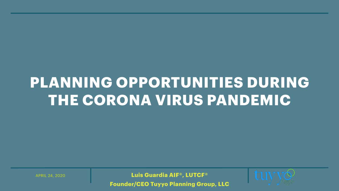### PLANNING OPPORTUNITIES DURING THE CORONA VIRUS PANDEMIC

Luis Guardia AIF®, LUTCF® **Founder/CEO Tuyyo Planning Group, LLC** 

**APRIL 24, 2020** 

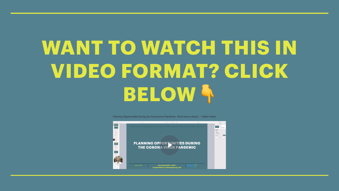# **WANT TO WATCH THIS IN** VIDEO FORMAT? CLICK BELOWA

Planning Opportunities During the Coronavirus Pandemic- (Feel free to share) – Watch Video

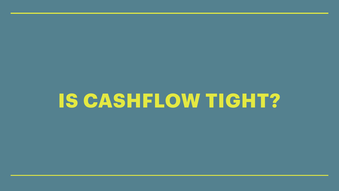# IS CASHFLOW TIGHT?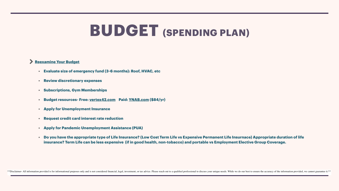### **Reexamine Your Budget**

- **• Evaluate size of emergency fund (3-6 months): Roof, HVAC, etc**
- **• Review discretionary expenses**
- **• Subscriptions, Gym Memberships**
- **• Budget resources- Free: [vertex42.com](http://vertex42.com) Paid: [YNAB.com](http://YNAB.com) (\$84/yr)**
- **• Apply for Unemployment Insurance**
- **• Request credit card interest rate reduction**
- **• Apply for Pandemic Unemployment Assistance (PUA)**
- 

\*\*Disclaimer- All information provided is for informational purposes only and is not considered financial, legal, investment, or tax advice. Please reach out to a qualified professional to discuss your unique needs. While

**• Do you have the appropriate type of Life Insurance? (Low Cost Term Life vs Expensive Permanent Life Insurnace) Appropriate duration of life insurance? Term Life can be less expensive (if in good health, non-tobacco) and portable vs Employment Elective Group Coverage.**



### **BUDGET (SPENDING PLAN)**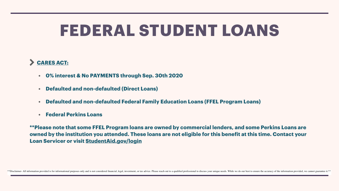

- **• 0% interest & No PAYMENTS through Sep. 30th 2020**
- **• Defaulted and non-defaulted (Direct Loans)**
- **• Defaulted and non-defaulted Federal Family Education Loans (FFEL Program Loans)**
- **• Federal Perkins Loans**

**\*\*Please note that some FFEL Program loans are owned by commercial lenders, and some Perkins Loans are owned by the institution you attended. These loans are not eligible for this benefit at this time. Contact your Loan Servicer or visit [StudentAid.gov/login](https://studentaid.gov/fsa-id/sign-in/landing)**

\*\*Disclaimer- All information provided is for informational purposes only and is not considered financial, legal, investment, or tax advice. Please reach out to a qualified professional to discuss your unique needs. While

## **FEDERAL STUDENT LOANS**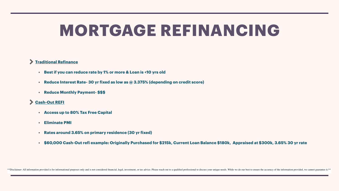### **Traditional Refinance**

- **• Best if you can reduce rate by 1% or more & Loan is <10 yrs old**
- **• Reduce Interest Rate- 30 yr fixed as low as @ 3.375% (depending on credit score)**
- **• Reduce Monthly Payment- \$\$\$**

### **Cash-Out REFI**

- **• Access up to 80% Tax Free Capital**
- **• Eliminate PMI**
- **• Rates around 3.65% on primary residence (30 yr fixed)**
- 

\*\*Disclaimer- All information provided is for informational purposes only and is not considered financial, legal, investment, or tax advice. Please reach out to a qualified professional to discuss your unique needs. While

### **• \$60,000 Cash-Out refi example: Originally Purchased for \$215k, Current Loan Balance \$180k, Appraised at \$300k, 3.65% 30 yr rate**

## **MORTGAGE REFINANCING**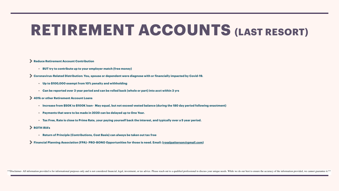### **Reduce Retirement Account Contribution**

**• BUT try to contribute up to your employer match (free money)** 

**Coronavirus-Related Distribution: You, spouse or dependent were diagnose with or financially impacted by Covid-19.** 

- **• Up to \$100,000 exempt from 10% penalty and withholding**
- **• Can be reported over 3 year period and can be rolled back (whole or part) into acct within 3 yrs**

**401k or other Retirement Account Loans** 

- **• Increase from \$50K to \$100K loan- May equal, but not exceed vested balance (during the 180 day period following enactment)**
- **• Payments that were to be made in 2020 can be delayed up to One Year.**
- **• Tax Free, Rate is close to Prime Rate, your paying yourself back the interest, and typically over a 5 year period.**

### **ROTH IRA's**

- **• Return of Principle (Contributions, Cost Basis) can always be taken out tax free**
- **Financial Planning Association (FPA)- PRO-BONO Opportunities for those is need. Email: ([rosslpatterson@gmail.com\)](mailto:rosslpatterson@gmail.com)**

\*\*Disclaimer- All information provided is for informational purposes only and is not considered financial, legal, investment, or tax advice. Please reach out to a qualified professional to discuss your unique needs. While

## **RETIREMENT ACCOUNTS (LAST RESORT)**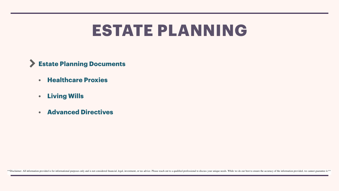### $\sum$ **Estate Planning Documents**

- **• Healthcare Proxies**
- **• Living Wills**
- **• Advanced Directives**

\*\*Disclaimer- All information provided is for informational purposes only and is not considered financial, legal, investment, or tax advice. Please reach out to a qualified professional to discuss your unique needs. While

### **ESTATE PLANNING**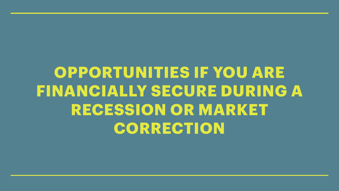## OPPORTUNITIES IF YOU ARE **FINANCIALLY SECURE DURING A RECESSION OR MARKET** CORRECTION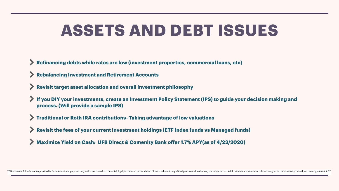**If you DIY your investments, create an Investment Policy Statement (IPS) to guide your decision making and** 

- **Refinancing debts while rates are low (investment properties, commercial loans, etc)**
- **Rebalancing Investment and Retirement Accounts**
- **Revisit target asset allocation and overall investment philosophy**
- **process. (Will provide a sample IPS)**
- **Traditional or Roth IRA contributions- Taking advantage of low valuations**
- **Revisit the fees of your current investment holdings (ETF Index funds vs Managed funds)**
- **Maximize Yield on Cash: UFB Direct & Comenity Bank offer 1.7% APY(as of 4/23/2020)**

\*\*Disclaimer- All information provided is for informational purposes only and is not considered financial, legal, investment, or tax advice. Please reach out to a qualified professional to discuss your unique needs. While

## **ASSETS AND DEBT ISSUES**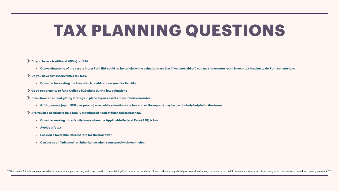### **Do you have a traditional 401(k) or IRA?**

**• Converting some of the assets into a Roth IRA could be beneficial while valuations are low. If you are laid off, you may have more room in your tax bracket to do Roth conversions.** 

- 
- **Do you have any assets with a tax loss?** 
	- **• Consider harvesting the loss, which could reduce your tax liability**
- **Good opportunity to fund College 529 plans during low valuations**
- **If you have an annual gifting strategy in place to pass assets to your heirs consider:** 
	- **• Gifting assets (up to \$15k per person) now, while valuations are low and while support may be particularly helpful to the donee.**
- **Are you in a position to help family members in need of financial assistance?** 
	- **• Consider making intra-family loans when the Applicable Federal Rate (AFR) is low.**
	- **• Avoids gift tax**
	- **• Locks in a favorable interest rate for the borrower**
	- **• Can act as an "advance" on inheritance when structured with your heirs.**

\*\*Disclaimer- All information provided is for informational purposes only and is not considered financial, legal, investment, or tax advice. Please reach out to a qualified professional to discuss your unique needs. While

## **TAX PLANNING QUESTIONS**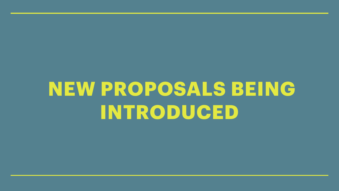# NEW PROPOSALS BEING INTRODUCED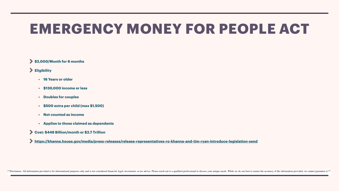### **\$2,000/Month for 6 months**

### **Eligibility**

- **• 16 Years or older**
- **• \$130,000 income or less**
- **• Doubles for couples**
- **• \$500 extra per child (max \$1,500)**
- **• Not counted as income**
- **• Applies to those claimed as dependents**
- **Cost: \$448 Billion/month or \$2.7 Trillion**

**<https://khanna.house.gov/media/press-releases/release-representatives-ro-khanna-and-tim-ryan-introduce-legislation-send>**

\*\*Disclaimer- All information provided is for informational purposes only and is not considered financial, legal, investment, or tax advice. Please reach out to a qualified professional to discuss your unique needs. While



### **EMERGENCY MONEY FOR PEOPLE ACT**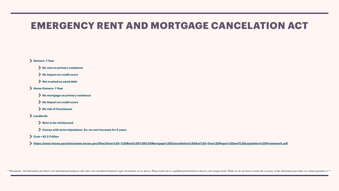### **Renters- 1 Year**

- **No rent on primary residence**
- **No impact on credit score**
- **Not treated as owed debt**
- **Home Owners- 1 Year** 
	- **No mortgage on primary residence**
	- **No impact on credit score**
	- **No risk of foreclosure**
- **Landlords** 
	- **Rent to be reimbursed**
	- **Comes with strict stipulation. Ex: no rent increase for 5 years**
- **Cost = \$1.3 Trillion**
- **https://omar.house.gov/sites/omar.house.gov/f[iles/Omar%20-%20Rent%20%26%20Mortgage%20Cancellation%20Act%20](https://omar.house.gov/sites/omar.house.gov/files/Omar%20-%20Rent%20%26%20Mortgage%20Cancellation%20Act%20-One%20Pager%20and%20Legislative%20Framework.pdf)-One%20Pager%20and%20Legislative%20Framework.pdf**

\*\*Disclaimer- All information provided is for informational purposes only and is not considered financial, legal, investment, or tax advice. Please reach out to a qualified professional to discuss your unique needs. While

### **EMERGENCY RENT AND MORTGAGE CANCELATION ACT**